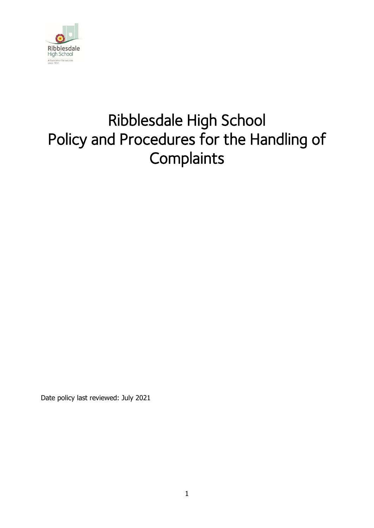

# Ribblesdale High School Policy and Procedures for the Handling of **Complaints**

Date policy last reviewed: July 2021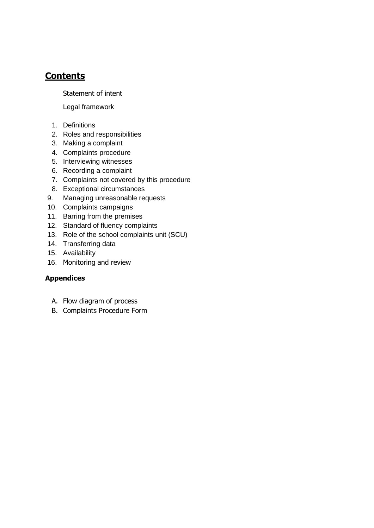# **Contents**

Statement of intent

Legal framework

- 1. Definitions
- 2. Roles and responsibilities
- 3. Making a complaint
- 4. Complaints procedure
- 5. Interviewing witnesses
- 6. Recording a complaint
- 7. Complaints not covered by this procedure
- 8. Exceptional circumstances
- 9. Managing unreasonable requests
- 10. Complaints campaigns
- 11. Barring from the premises
- 12. Standard of fluency complaints
- 13. Role of the school complaints unit (SCU)
- 14. Transferring data
- 15. Availability
- 16. Monitoring and review

### **Appendices**

- A. Flow diagram of process
- B. Complaints Procedure Form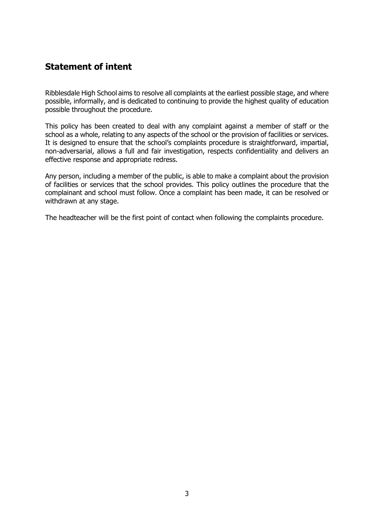## **Statement of intent**

Ribblesdale High School aims to resolve all complaints at the earliest possible stage, and where possible, informally, and is dedicated to continuing to provide the highest quality of education possible throughout the procedure.

This policy has been created to deal with any complaint against a member of staff or the school as a whole, relating to any aspects of the school or the provision of facilities or services. It is designed to ensure that the school's complaints procedure is straightforward, impartial, non-adversarial, allows a full and fair investigation, respects confidentiality and delivers an effective response and appropriate redress.

Any person, including a member of the public, is able to make a complaint about the provision of facilities or services that the school provides. This policy outlines the procedure that the complainant and school must follow. Once a complaint has been made, it can be resolved or withdrawn at any stage.

The headteacher will be the first point of contact when following the complaints procedure.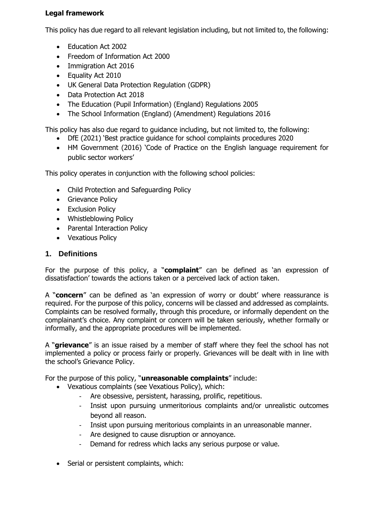### **Legal framework**

This policy has due regard to all relevant legislation including, but not limited to, the following:

- Education Act 2002
- Freedom of Information Act 2000
- Immigration Act 2016
- Equality Act 2010
- UK General Data Protection Regulation (GDPR)
- Data Protection Act 2018
- The Education (Pupil Information) (England) Regulations 2005
- The School Information (England) (Amendment) Regulations 2016

This policy has also due regard to guidance including, but not limited to, the following:

- DfE (2021) 'Best practice guidance for school complaints procedures 2020
- HM Government (2016) 'Code of Practice on the English language requirement for public sector workers'

This policy operates in conjunction with the following school policies:

- Child Protection and Safeguarding Policy
- Grievance Policy
- Exclusion Policy
- Whistleblowing Policy
- Parental Interaction Policy
- Vexatious Policy

### **1. Definitions**

For the purpose of this policy, a "**complaint**" can be defined as 'an expression of dissatisfaction' towards the actions taken or a perceived lack of action taken.

A "**concern**" can be defined as 'an expression of worry or doubt' where reassurance is required. For the purpose of this policy, concerns will be classed and addressed as complaints. Complaints can be resolved formally, through this procedure, or informally dependent on the complainant's choice. Any complaint or concern will be taken seriously, whether formally or informally, and the appropriate procedures will be implemented.

A "**grievance**" is an issue raised by a member of staff where they feel the school has not implemented a policy or process fairly or properly. Grievances will be dealt with in line with the school's Grievance Policy.

For the purpose of this policy, "**unreasonable complaints**" include:

- Vexatious complaints (see Vexatious Policy), which:
	- Are obsessive, persistent, harassing, prolific, repetitious.
	- Insist upon pursuing unmeritorious complaints and/or unrealistic outcomes beyond all reason.
	- Insist upon pursuing meritorious complaints in an unreasonable manner.
	- Are designed to cause disruption or annoyance.
	- Demand for redress which lacks any serious purpose or value.
- Serial or persistent complaints, which: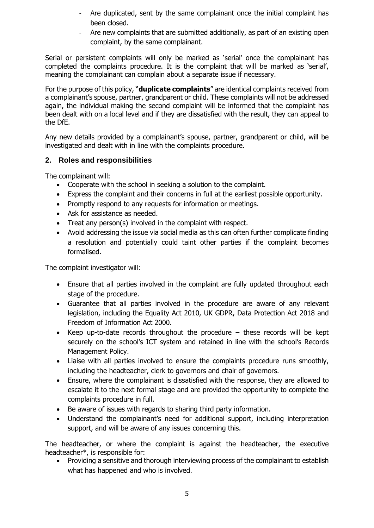- Are duplicated, sent by the same complainant once the initial complaint has been closed.
- Are new complaints that are submitted additionally, as part of an existing open complaint, by the same complainant.

Serial or persistent complaints will only be marked as 'serial' once the complainant has completed the complaints procedure. It is the complaint that will be marked as 'serial', meaning the complainant can complain about a separate issue if necessary.

For the purpose of this policy, "**duplicate complaints**" are identical complaints received from a complainant's spouse, partner, grandparent or child. These complaints will not be addressed again, the individual making the second complaint will be informed that the complaint has been dealt with on a local level and if they are dissatisfied with the result, they can appeal to the DfE.

Any new details provided by a complainant's spouse, partner, grandparent or child, will be investigated and dealt with in line with the complaints procedure.

### **2. Roles and responsibilities**

The complainant will:

- Cooperate with the school in seeking a solution to the complaint.
- Express the complaint and their concerns in full at the earliest possible opportunity.
- Promptly respond to any requests for information or meetings.
- Ask for assistance as needed.
- Treat any person(s) involved in the complaint with respect.
- Avoid addressing the issue via social media as this can often further complicate finding a resolution and potentially could taint other parties if the complaint becomes formalised.

The complaint investigator will:

- Ensure that all parties involved in the complaint are fully updated throughout each stage of the procedure.
- Guarantee that all parties involved in the procedure are aware of any relevant legislation, including the Equality Act 2010, UK GDPR, Data Protection Act 2018 and Freedom of Information Act 2000.
- Keep up-to-date records throughout the procedure these records will be kept securely on the school's ICT system and retained in line with the school's Records Management Policy.
- Liaise with all parties involved to ensure the complaints procedure runs smoothly, including the headteacher, clerk to governors and chair of governors.
- Ensure, where the complainant is dissatisfied with the response, they are allowed to escalate it to the next formal stage and are provided the opportunity to complete the complaints procedure in full.
- Be aware of issues with regards to sharing third party information.
- Understand the complainant's need for additional support, including interpretation support, and will be aware of any issues concerning this.

The headteacher, or where the complaint is against the headteacher, the executive headteacher\*, is responsible for:

• Providing a sensitive and thorough interviewing process of the complainant to establish what has happened and who is involved.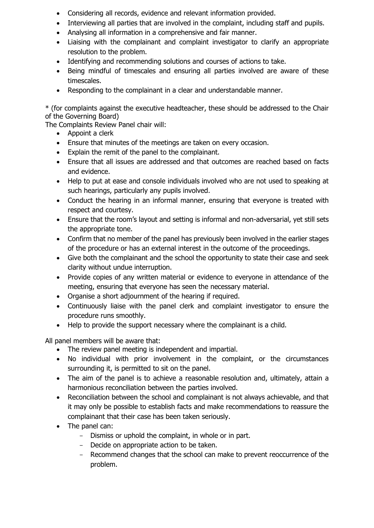- Considering all records, evidence and relevant information provided.
- Interviewing all parties that are involved in the complaint, including staff and pupils.
- Analysing all information in a comprehensive and fair manner.
- Liaising with the complainant and complaint investigator to clarify an appropriate resolution to the problem.
- Identifying and recommending solutions and courses of actions to take.
- Being mindful of timescales and ensuring all parties involved are aware of these timescales.
- Responding to the complainant in a clear and understandable manner.

\* (for complaints against the executive headteacher, these should be addressed to the Chair of the Governing Board)

The Complaints Review Panel chair will:

- Appoint a clerk
- Ensure that minutes of the meetings are taken on every occasion.
- Explain the remit of the panel to the complainant.
- Ensure that all issues are addressed and that outcomes are reached based on facts and evidence.
- Help to put at ease and console individuals involved who are not used to speaking at such hearings, particularly any pupils involved.
- Conduct the hearing in an informal manner, ensuring that everyone is treated with respect and courtesy.
- Ensure that the room's layout and setting is informal and non-adversarial, yet still sets the appropriate tone.
- Confirm that no member of the panel has previously been involved in the earlier stages of the procedure or has an external interest in the outcome of the proceedings.
- Give both the complainant and the school the opportunity to state their case and seek clarity without undue interruption.
- Provide copies of any written material or evidence to everyone in attendance of the meeting, ensuring that everyone has seen the necessary material.
- Organise a short adjournment of the hearing if required.
- Continuously liaise with the panel clerk and complaint investigator to ensure the procedure runs smoothly.
- Help to provide the support necessary where the complainant is a child.

All panel members will be aware that:

- The review panel meeting is independent and impartial.
- No individual with prior involvement in the complaint, or the circumstances surrounding it, is permitted to sit on the panel.
- The aim of the panel is to achieve a reasonable resolution and, ultimately, attain a harmonious reconciliation between the parties involved.
- Reconciliation between the school and complainant is not always achievable, and that it may only be possible to establish facts and make recommendations to reassure the complainant that their case has been taken seriously.
- The panel can:
	- Dismiss or uphold the complaint, in whole or in part.
	- Decide on appropriate action to be taken.
	- Recommend changes that the school can make to prevent reoccurrence of the problem.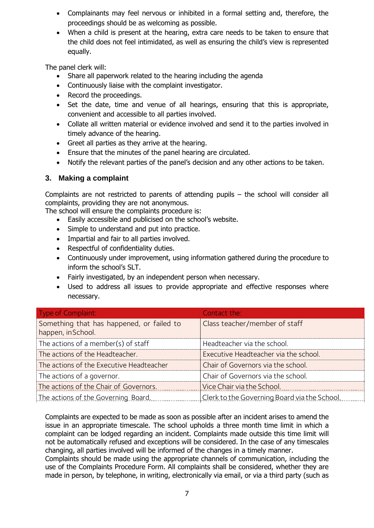- Complainants may feel nervous or inhibited in a formal setting and, therefore, the proceedings should be as welcoming as possible.
- When a child is present at the hearing, extra care needs to be taken to ensure that the child does not feel intimidated, as well as ensuring the child's view is represented equally.

The panel clerk will:

- Share all paperwork related to the hearing including the agenda
- Continuously liaise with the complaint investigator.
- Record the proceedings.
- Set the date, time and venue of all hearings, ensuring that this is appropriate, convenient and accessible to all parties involved.
- Collate all written material or evidence involved and send it to the parties involved in timely advance of the hearing.
- Greet all parties as they arrive at the hearing.
- Ensure that the minutes of the panel hearing are circulated.
- Notify the relevant parties of the panel's decision and any other actions to be taken.

### **3. Making a complaint**

Complaints are not restricted to parents of attending pupils – the school will consider all complaints, providing they are not anonymous.

The school will ensure the complaints procedure is:

- Easily accessible and publicised on the school's website.
- Simple to understand and put into practice.
- Impartial and fair to all parties involved.
- Respectful of confidentiality duties.
- Continuously under improvement, using information gathered during the procedure to inform the school's SLT.
- Fairly investigated, by an independent person when necessary.
- Used to address all issues to provide appropriate and effective responses where necessary.

| Type of Complaint:                                              | Contact the:                                 |
|-----------------------------------------------------------------|----------------------------------------------|
| Something that has happened, or failed to<br>happen, in School. | Class teacher/member of staff                |
| The actions of a member(s) of staff                             | Headteacher via the school.                  |
| The actions of the Headteacher.                                 | Executive Headteacher via the school.        |
| The actions of the Executive Headteacher                        | Chair of Governors via the school.           |
| The actions of a governor.                                      | Chair of Governors via the school.           |
| The actions of the Chair of Governors.                          | Vice Chair via the School.                   |
| The actions of the Governing Board.                             | Clerk to the Governing Board via the School. |

Complaints are expected to be made as soon as possible after an incident arises to amend the issue in an appropriate timescale. The school upholds a three month time limit in which a complaint can be lodged regarding an incident. Complaints made outside this time limit will not be automatically refused and exceptions will be considered. In the case of any timescales changing, all parties involved will be informed of the changes in a timely manner.

Complaints should be made using the appropriate channels of communication, including the use of the Complaints Procedure Form. All complaints shall be considered, whether they are made in person, by telephone, in writing, electronically via email, or via a third party (such as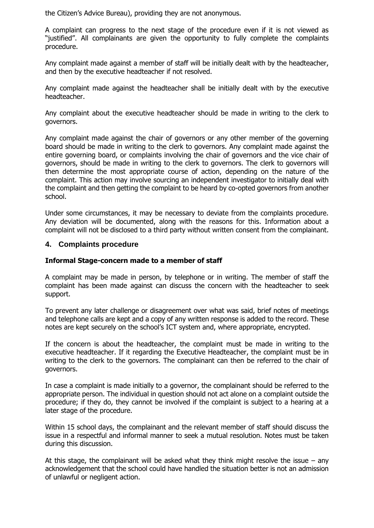the Citizen's Advice Bureau), providing they are not anonymous.

A complaint can progress to the next stage of the procedure even if it is not viewed as "justified". All complainants are given the opportunity to fully complete the complaints procedure.

Any complaint made against a member of staff will be initially dealt with by the headteacher, and then by the executive headteacher if not resolved.

Any complaint made against the headteacher shall be initially dealt with by the executive headteacher.

Any complaint about the executive headteacher should be made in writing to the clerk to governors.

Any complaint made against the chair of governors or any other member of the governing board should be made in writing to the clerk to governors. Any complaint made against the entire governing board, or complaints involving the chair of governors and the vice chair of governors, should be made in writing to the clerk to governors. The clerk to governors will then determine the most appropriate course of action, depending on the nature of the complaint. This action may involve sourcing an independent investigator to initially deal with the complaint and then getting the complaint to be heard by co-opted governors from another school.

Under some circumstances, it may be necessary to deviate from the complaints procedure. Any deviation will be documented, along with the reasons for this. Information about a complaint will not be disclosed to a third party without written consent from the complainant.

### **4. Complaints procedure**

### **Informal Stage-concern made to a member of staff**

A complaint may be made in person, by telephone or in writing. The member of staff the complaint has been made against can discuss the concern with the headteacher to seek support.

To prevent any later challenge or disagreement over what was said, brief notes of meetings and telephone calls are kept and a copy of any written response is added to the record. These notes are kept securely on the school's ICT system and, where appropriate, encrypted.

If the concern is about the headteacher, the complaint must be made in writing to the executive headteacher. If it regarding the Executive Headteacher, the complaint must be in writing to the clerk to the governors. The complainant can then be referred to the chair of governors.

In case a complaint is made initially to a governor, the complainant should be referred to the appropriate person. The individual in question should not act alone on a complaint outside the procedure; if they do, they cannot be involved if the complaint is subject to a hearing at a later stage of the procedure.

Within 15 school days, the complainant and the relevant member of staff should discuss the issue in a respectful and informal manner to seek a mutual resolution. Notes must be taken during this discussion.

At this stage, the complainant will be asked what they think might resolve the issue  $-$  any acknowledgement that the school could have handled the situation better is not an admission of unlawful or negligent action.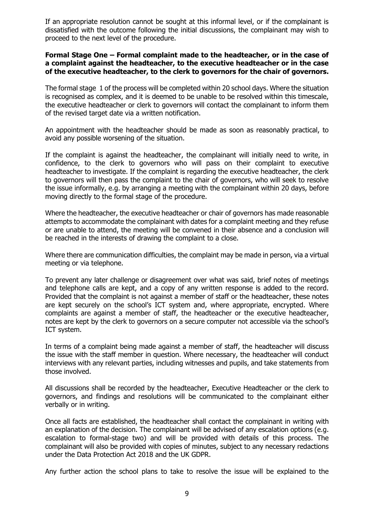If an appropriate resolution cannot be sought at this informal level, or if the complainant is dissatisfied with the outcome following the initial discussions, the complainant may wish to proceed to the next level of the procedure.

### **Formal Stage One – Formal complaint made to the headteacher, or in the case of a complaint against the headteacher, to the executive headteacher or in the case of the executive headteacher, to the clerk to governors for the chair of governors.**

The formal stage 1 of the process will be completed within 20 school days. Where the situation is recognised as complex, and it is deemed to be unable to be resolved within this timescale, the executive headteacher or clerk to governors will contact the complainant to inform them of the revised target date via a written notification.

An appointment with the headteacher should be made as soon as reasonably practical, to avoid any possible worsening of the situation.

If the complaint is against the headteacher, the complainant will initially need to write, in confidence, to the clerk to governors who will pass on their complaint to executive headteacher to investigate. If the complaint is regarding the executive headteacher, the clerk to governors will then pass the complaint to the chair of governors, who will seek to resolve the issue informally, e.g. by arranging a meeting with the complainant within 20 days, before moving directly to the formal stage of the procedure.

Where the headteacher, the executive headteacher or chair of governors has made reasonable attempts to accommodate the complainant with dates for a complaint meeting and they refuse or are unable to attend, the meeting will be convened in their absence and a conclusion will be reached in the interests of drawing the complaint to a close.

Where there are communication difficulties, the complaint may be made in person, via a virtual meeting or via telephone.

To prevent any later challenge or disagreement over what was said, brief notes of meetings and telephone calls are kept, and a copy of any written response is added to the record. Provided that the complaint is not against a member of staff or the headteacher, these notes are kept securely on the school's ICT system and, where appropriate, encrypted. Where complaints are against a member of staff, the headteacher or the executive headteacher, notes are kept by the clerk to governors on a secure computer not accessible via the school's ICT system.

In terms of a complaint being made against a member of staff, the headteacher will discuss the issue with the staff member in question. Where necessary, the headteacher will conduct interviews with any relevant parties, including witnesses and pupils, and take statements from those involved.

All discussions shall be recorded by the headteacher, Executive Headteacher or the clerk to governors, and findings and resolutions will be communicated to the complainant either verbally or in writing.

Once all facts are established, the headteacher shall contact the complainant in writing with an explanation of the decision. The complainant will be advised of any escalation options (e.g. escalation to formal-stage two) and will be provided with details of this process. The complainant will also be provided with copies of minutes, subject to any necessary redactions under the Data Protection Act 2018 and the UK GDPR.

Any further action the school plans to take to resolve the issue will be explained to the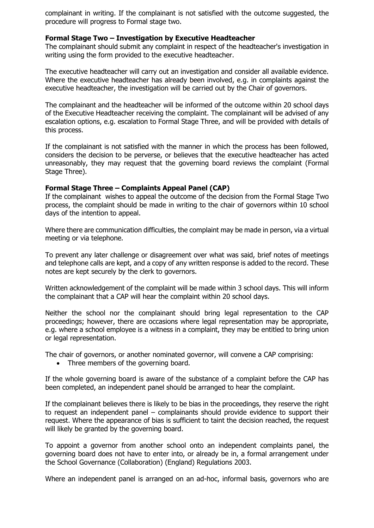complainant in writing. If the complainant is not satisfied with the outcome suggested, the procedure will progress to Formal stage two.

### **Formal Stage Two – Investigation by Executive Headteacher**

The complainant should submit any complaint in respect of the headteacher's investigation in writing using the form provided to the executive headteacher.

The executive headteacher will carry out an investigation and consider all available evidence. Where the executive headteacher has already been involved, e.g. in complaints against the executive headteacher, the investigation will be carried out by the Chair of governors.

The complainant and the headteacher will be informed of the outcome within 20 school days of the Executive Headteacher receiving the complaint. The complainant will be advised of any escalation options, e.g. escalation to Formal Stage Three, and will be provided with details of this process.

If the complainant is not satisfied with the manner in which the process has been followed, considers the decision to be perverse, or believes that the executive headteacher has acted unreasonably, they may request that the governing board reviews the complaint (Formal Stage Three).

#### **Formal Stage Three – Complaints Appeal Panel (CAP)**

If the complainant wishes to appeal the outcome of the decision from the Formal Stage Two process, the complaint should be made in writing to the chair of governors within 10 school days of the intention to appeal.

Where there are communication difficulties, the complaint may be made in person, via a virtual meeting or via telephone.

To prevent any later challenge or disagreement over what was said, brief notes of meetings and telephone calls are kept, and a copy of any written response is added to the record. These notes are kept securely by the clerk to governors.

Written acknowledgement of the complaint will be made within 3 school days. This will inform the complainant that a CAP will hear the complaint within 20 school days.

Neither the school nor the complainant should bring legal representation to the CAP proceedings; however, there are occasions where legal representation may be appropriate, e.g. where a school employee is a witness in a complaint, they may be entitled to bring union or legal representation.

The chair of governors, or another nominated governor, will convene a CAP comprising:

• Three members of the governing board.

If the whole governing board is aware of the substance of a complaint before the CAP has been completed, an independent panel should be arranged to hear the complaint.

If the complainant believes there is likely to be bias in the proceedings, they reserve the right to request an independent panel – complainants should provide evidence to support their request. Where the appearance of bias is sufficient to taint the decision reached, the request will likely be granted by the governing board.

To appoint a governor from another school onto an independent complaints panel, the governing board does not have to enter into, or already be in, a formal arrangement under the School Governance (Collaboration) (England) Regulations 2003.

Where an independent panel is arranged on an ad-hoc, informal basis, governors who are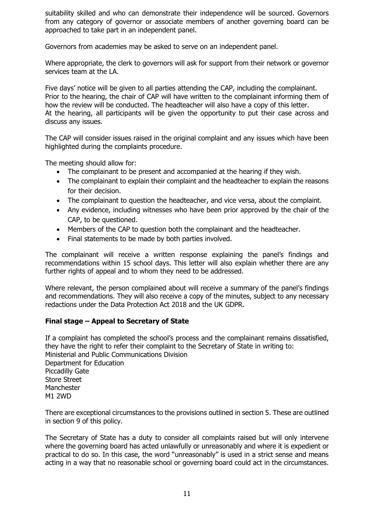suitability skilled and who can demonstrate their independence will be sourced. Governors from any category of governor or associate members of another governing board can be approached to take part in an independent panel.

Governors from academies may be asked to serve on an independent panel.

Where appropriate, the clerk to governors will ask for support from their network or governor services team at the LA.

Five days' notice will be given to all parties attending the CAP, including the complainant. Prior to the hearing, the chair of CAP will have written to the complainant informing them of how the review will be conducted. The headteacher will also have a copy of this letter. At the hearing, all participants will be given the opportunity to put their case across and discuss any issues.

The CAP will consider issues raised in the original complaint and any issues which have been highlighted during the complaints procedure.

The meeting should allow for:

- The complainant to be present and accompanied at the hearing if they wish.
- The complainant to explain their complaint and the headteacher to explain the reasons for their decision.
- The complainant to question the headteacher, and vice versa, about the complaint.
- Any evidence, including witnesses who have been prior approved by the chair of the CAP, to be questioned.
- Members of the CAP to question both the complainant and the headteacher.
- Final statements to be made by both parties involved.

The complainant will receive a written response explaining the panel's findings and recommendations within 15 school days. This letter will also explain whether there are any further rights of appeal and to whom they need to be addressed.

Where relevant, the person complained about will receive a summary of the panel's findings and recommendations. They will also receive a copy of the minutes, subject to any necessary redactions under the Data Protection Act 2018 and the UK GDPR.

### **Final stage – Appeal to Secretary of State**

If a complaint has completed the school's process and the complainant remains dissatisfied, they have the right to refer their complaint to the Secretary of State in writing to: Ministerial and Public Communications Division Department for Education Piccadilly Gate Store Street **Manchester** M1 2WD

There are exceptional circumstances to the provisions outlined in section 5. These are outlined in section 9 of this policy.

The Secretary of State has a duty to consider all complaints raised but will only intervene where the governing board has acted unlawfully or unreasonably and where it is expedient or practical to do so. In this case, the word "unreasonably" is used in a strict sense and means acting in a way that no reasonable school or governing board could act in the circumstances.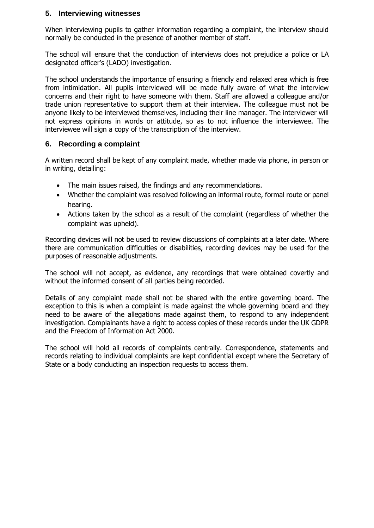### **5. Interviewing witnesses**

When interviewing pupils to gather information regarding a complaint, the interview should normally be conducted in the presence of another member of staff.

The school will ensure that the conduction of interviews does not prejudice a police or LA designated officer's (LADO) investigation.

The school understands the importance of ensuring a friendly and relaxed area which is free from intimidation. All pupils interviewed will be made fully aware of what the interview concerns and their right to have someone with them. Staff are allowed a colleague and/or trade union representative to support them at their interview. The colleague must not be anyone likely to be interviewed themselves, including their line manager. The interviewer will not express opinions in words or attitude, so as to not influence the interviewee. The interviewee will sign a copy of the transcription of the interview.

### **6. Recording a complaint**

A written record shall be kept of any complaint made, whether made via phone, in person or in writing, detailing:

- The main issues raised, the findings and any recommendations.
- Whether the complaint was resolved following an informal route, formal route or panel hearing.
- Actions taken by the school as a result of the complaint (regardless of whether the complaint was upheld).

Recording devices will not be used to review discussions of complaints at a later date. Where there are communication difficulties or disabilities, recording devices may be used for the purposes of reasonable adjustments.

The school will not accept, as evidence, any recordings that were obtained covertly and without the informed consent of all parties being recorded.

Details of any complaint made shall not be shared with the entire governing board. The exception to this is when a complaint is made against the whole governing board and they need to be aware of the allegations made against them, to respond to any independent investigation. Complainants have a right to access copies of these records under the UK GDPR and the Freedom of Information Act 2000.

The school will hold all records of complaints centrally. Correspondence, statements and records relating to individual complaints are kept confidential except where the Secretary of State or a body conducting an inspection requests to access them.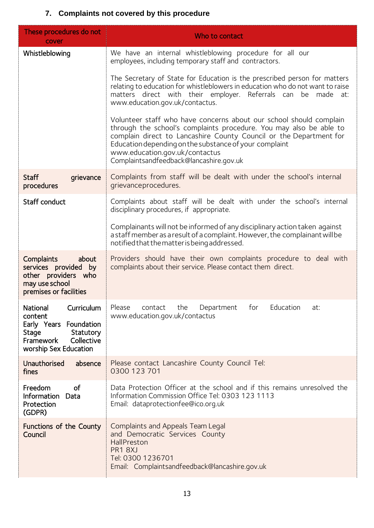# **7. Complaints not covered by this procedure**

| These procedures do not<br>cover                                                                                                      | Who to contact                                                                                                                                                                                                                                                                                                                                        |
|---------------------------------------------------------------------------------------------------------------------------------------|-------------------------------------------------------------------------------------------------------------------------------------------------------------------------------------------------------------------------------------------------------------------------------------------------------------------------------------------------------|
| Whistleblowing                                                                                                                        | We have an internal whistleblowing procedure for all our<br>employees, including temporary staff and contractors.                                                                                                                                                                                                                                     |
|                                                                                                                                       | The Secretary of State for Education is the prescribed person for matters<br>relating to education for whistleblowers in education who do not want to raise<br>matters direct with their employer. Referrals can be made at:<br>www.education.gov.uk/contactus.                                                                                       |
|                                                                                                                                       | Volunteer staff who have concerns about our school should complain<br>through the school's complaints procedure. You may also be able to<br>complain direct to Lancashire County Council or the Department for<br>Education depending on the substance of your complaint<br>www.education.gov.uk/contactus<br>Complaintsandfeedback@lancashire.gov.uk |
| <b>Staff</b><br>grievance<br>procedures                                                                                               | Complaints from staff will be dealt with under the school's internal<br>grievanceprocedures.                                                                                                                                                                                                                                                          |
| <b>Staff conduct</b>                                                                                                                  | Complaints about staff will be dealt with under the school's internal<br>disciplinary procedures, if appropriate.                                                                                                                                                                                                                                     |
|                                                                                                                                       | Complainants will not be informed of any disciplinary action taken against<br>a staff member as a result of a complaint. However, the complainant will be<br>notified that the matter is being addressed.                                                                                                                                             |
| Complaints<br>about<br>services provided by<br>other providers who<br>may use school<br>premises or facilities                        | Providers should have their own complaints procedure to deal with<br>complaints about their service. Please contact them direct.                                                                                                                                                                                                                      |
| National<br>Curriculum<br>content<br>Early Years Foundation<br>Stage<br>Statutory<br>Framework<br>Collective<br>worship Sex Education | Please<br>contact<br>the<br>Department<br>Education<br>for<br>at:<br>www.education.gov.uk/contactus                                                                                                                                                                                                                                                   |
| Unauthorised<br>absence<br>fines                                                                                                      | Please contact Lancashire County Council Tel:<br>0300 123 701                                                                                                                                                                                                                                                                                         |
| Freedom<br>of<br><b>Information</b><br>Data<br>Protection<br>(GDPR)                                                                   | Data Protection Officer at the school and if this remains unresolved the<br>Information Commission Office Tel: 0303 123 1113<br>Email: dataprotectionfee@ico.org.uk                                                                                                                                                                                   |
| Functions of the County<br>Council                                                                                                    | Complaints and Appeals Team Legal<br>and Democratic Services County<br>HallPreston<br>PR1 8XJ<br>Tel: 0300 1236701<br>Email: Complaintsandfeedback@lancashire.gov.uk                                                                                                                                                                                  |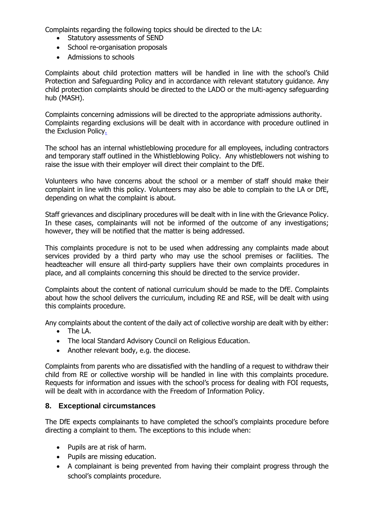Complaints regarding the following topics should be directed to the LA:

- Statutory assessments of SEND
- School re-organisation proposals
- Admissions to schools

Complaints about child protection matters will be handled in line with the school's Child Protection and Safeguarding Policy and in accordance with relevant statutory guidance. Any child protection complaints should be directed to the LADO or the multi-agency safeguarding hub (MASH).

Complaints concerning admissions will be directed to the appropriate admissions authority. Complaints regarding exclusions will be dealt with in accordance with procedure outlined in the Exclusion Policy.

The school has an internal whistleblowing procedure for all employees, including contractors and temporary staff outlined in the Whistleblowing Policy. Any whistleblowers not wishing to raise the issue with their employer will direct their complaint to the DfE.

Volunteers who have concerns about the school or a member of staff should make their complaint in line with this policy. Volunteers may also be able to complain to the LA or DfE, depending on what the complaint is about.

Staff grievances and disciplinary procedures will be dealt with in line with the Grievance Policy. In these cases, complainants will not be informed of the outcome of any investigations; however, they will be notified that the matter is being addressed.

This complaints procedure is not to be used when addressing any complaints made about services provided by a third party who may use the school premises or facilities. The headteacher will ensure all third-party suppliers have their own complaints procedures in place, and all complaints concerning this should be directed to the service provider.

Complaints about the content of national curriculum should be made to the DfE. Complaints about how the school delivers the curriculum, including RE and RSE, will be dealt with using this complaints procedure.

Any complaints about the content of the daily act of collective worship are dealt with by either:

- The LA.
- The local Standard Advisory Council on Religious Education.
- Another relevant body, e.g. the diocese.

Complaints from parents who are dissatisfied with the handling of a request to withdraw their child from RE or collective worship will be handled in line with this complaints procedure. Requests for information and issues with the school's process for dealing with FOI requests, will be dealt with in accordance with the Freedom of Information Policy.

### **8. Exceptional circumstances**

The DfE expects complainants to have completed the school's complaints procedure before directing a complaint to them. The exceptions to this include when:

- Pupils are at risk of harm.
- Pupils are missing education.
- A complainant is being prevented from having their complaint progress through the school's complaints procedure.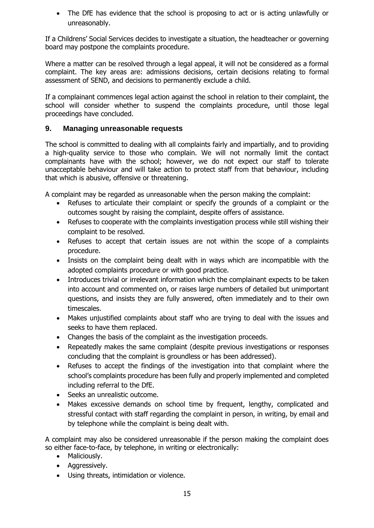• The DfE has evidence that the school is proposing to act or is acting unlawfully or unreasonably.

If a Childrens' Social Services decides to investigate a situation, the headteacher or governing board may postpone the complaints procedure.

Where a matter can be resolved through a legal appeal, it will not be considered as a formal complaint. The key areas are: admissions decisions, certain decisions relating to formal assessment of SEND, and decisions to permanently exclude a child.

If a complainant commences legal action against the school in relation to their complaint, the school will consider whether to suspend the complaints procedure, until those legal proceedings have concluded.

### **9. Managing unreasonable requests**

The school is committed to dealing with all complaints fairly and impartially, and to providing a high-quality service to those who complain. We will not normally limit the contact complainants have with the school; however, we do not expect our staff to tolerate unacceptable behaviour and will take action to protect staff from that behaviour, including that which is abusive, offensive or threatening.

A complaint may be regarded as unreasonable when the person making the complaint:

- Refuses to articulate their complaint or specify the grounds of a complaint or the outcomes sought by raising the complaint, despite offers of assistance.
- Refuses to cooperate with the complaints investigation process while still wishing their complaint to be resolved.
- Refuses to accept that certain issues are not within the scope of a complaints procedure.
- Insists on the complaint being dealt with in ways which are incompatible with the adopted complaints procedure or with good practice.
- Introduces trivial or irrelevant information which the complainant expects to be taken into account and commented on, or raises large numbers of detailed but unimportant questions, and insists they are fully answered, often immediately and to their own timescales.
- Makes unjustified complaints about staff who are trying to deal with the issues and seeks to have them replaced.
- Changes the basis of the complaint as the investigation proceeds.
- Repeatedly makes the same complaint (despite previous investigations or responses concluding that the complaint is groundless or has been addressed).
- Refuses to accept the findings of the investigation into that complaint where the school's complaints procedure has been fully and properly implemented and completed including referral to the DfE.
- Seeks an unrealistic outcome.
- Makes excessive demands on school time by frequent, lengthy, complicated and stressful contact with staff regarding the complaint in person, in writing, by email and by telephone while the complaint is being dealt with.

A complaint may also be considered unreasonable if the person making the complaint does so either face-to-face, by telephone, in writing or electronically:

- Maliciously.
- Aggressively.
- Using threats, intimidation or violence.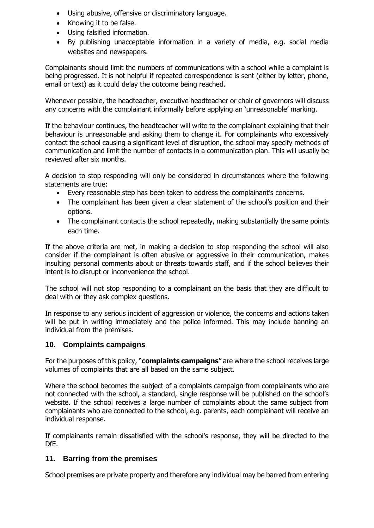- Using abusive, offensive or discriminatory language.
- Knowing it to be false.
- Using falsified information.
- By publishing unacceptable information in a variety of media, e.g. social media websites and newspapers.

Complainants should limit the numbers of communications with a school while a complaint is being progressed. It is not helpful if repeated correspondence is sent (either by letter, phone, email or text) as it could delay the outcome being reached.

Whenever possible, the headteacher, executive headteacher or chair of governors will discuss any concerns with the complainant informally before applying an 'unreasonable' marking.

If the behaviour continues, the headteacher will write to the complainant explaining that their behaviour is unreasonable and asking them to change it. For complainants who excessively contact the school causing a significant level of disruption, the school may specify methods of communication and limit the number of contacts in a communication plan. This will usually be reviewed after six months.

A decision to stop responding will only be considered in circumstances where the following statements are true:

- Every reasonable step has been taken to address the complainant's concerns.
- The complainant has been given a clear statement of the school's position and their options.
- The complainant contacts the school repeatedly, making substantially the same points each time.

If the above criteria are met, in making a decision to stop responding the school will also consider if the complainant is often abusive or aggressive in their communication, makes insulting personal comments about or threats towards staff, and if the school believes their intent is to disrupt or inconvenience the school.

The school will not stop responding to a complainant on the basis that they are difficult to deal with or they ask complex questions.

In response to any serious incident of aggression or violence, the concerns and actions taken will be put in writing immediately and the police informed. This may include banning an individual from the premises.

### **10. Complaints campaigns**

For the purposes of this policy, "**complaints campaigns**" are where the school receives large volumes of complaints that are all based on the same subject.

Where the school becomes the subject of a complaints campaign from complainants who are not connected with the school, a standard, single response will be published on the school's website. If the school receives a large number of complaints about the same subject from complainants who are connected to the school, e.g. parents, each complainant will receive an individual response.

If complainants remain dissatisfied with the school's response, they will be directed to the DfE.

### **11. Barring from the premises**

School premises are private property and therefore any individual may be barred from entering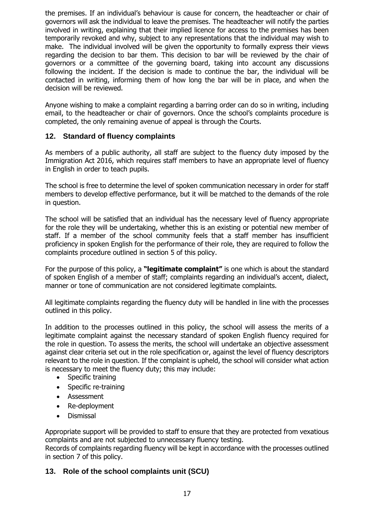the premises. If an individual's behaviour is cause for concern, the headteacher or chair of governors will ask the individual to leave the premises. The headteacher will notify the parties involved in writing, explaining that their implied licence for access to the premises has been temporarily revoked and why, subject to any representations that the individual may wish to make. The individual involved will be given the opportunity to formally express their views regarding the decision to bar them. This decision to bar will be reviewed by the chair of governors or a committee of the governing board, taking into account any discussions following the incident. If the decision is made to continue the bar, the individual will be contacted in writing, informing them of how long the bar will be in place, and when the decision will be reviewed.

Anyone wishing to make a complaint regarding a barring order can do so in writing, including email, to the headteacher or chair of governors. Once the school's complaints procedure is completed, the only remaining avenue of appeal is through the Courts.

### **12. Standard of fluency complaints**

As members of a public authority, all staff are subject to the fluency duty imposed by the Immigration Act 2016, which requires staff members to have an appropriate level of fluency in English in order to teach pupils.

The school is free to determine the level of spoken communication necessary in order for staff members to develop effective performance, but it will be matched to the demands of the role in question.

The school will be satisfied that an individual has the necessary level of fluency appropriate for the role they will be undertaking, whether this is an existing or potential new member of staff. If a member of the school community feels that a staff member has insufficient proficiency in spoken English for the performance of their role, they are required to follow the complaints procedure outlined in section 5 of this policy.

For the purpose of this policy, a **"legitimate complaint"** is one which is about the standard of spoken English of a member of staff; complaints regarding an individual's accent, dialect, manner or tone of communication are not considered legitimate complaints.

All legitimate complaints regarding the fluency duty will be handled in line with the processes outlined in this policy.

In addition to the processes outlined in this policy, the school will assess the merits of a legitimate complaint against the necessary standard of spoken English fluency required for the role in question. To assess the merits, the school will undertake an objective assessment against clear criteria set out in the role specification or, against the level of fluency descriptors relevant to the role in question. If the complaint is upheld, the school will consider what action is necessary to meet the fluency duty; this may include:

- Specific training
- Specific re-training
- Assessment
- Re-deployment
- Dismissal

Appropriate support will be provided to staff to ensure that they are protected from vexatious complaints and are not subjected to unnecessary fluency testing.

Records of complaints regarding fluency will be kept in accordance with the processes outlined in section 7 of this policy.

### **13. Role of the school complaints unit (SCU)**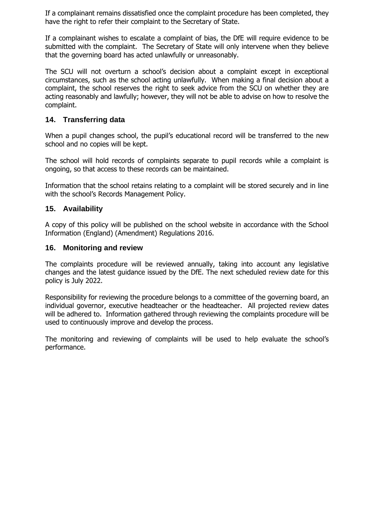If a complainant remains dissatisfied once the complaint procedure has been completed, they have the right to refer their complaint to the Secretary of State.

If a complainant wishes to escalate a complaint of bias, the DfE will require evidence to be submitted with the complaint. The Secretary of State will only intervene when they believe that the governing board has acted unlawfully or unreasonably.

The SCU will not overturn a school's decision about a complaint except in exceptional circumstances, such as the school acting unlawfully. When making a final decision about a complaint, the school reserves the right to seek advice from the SCU on whether they are acting reasonably and lawfully; however, they will not be able to advise on how to resolve the complaint.

### **14. Transferring data**

When a pupil changes school, the pupil's educational record will be transferred to the new school and no copies will be kept.

The school will hold records of complaints separate to pupil records while a complaint is ongoing, so that access to these records can be maintained.

Information that the school retains relating to a complaint will be stored securely and in line with the school's Records Management Policy.

### **15. Availability**

A copy of this policy will be published on the school website in accordance with the School Information (England) (Amendment) Regulations 2016.

### **16. Monitoring and review**

The complaints procedure will be reviewed annually, taking into account any legislative changes and the latest guidance issued by the DfE. The next scheduled review date for this policy is July 2022.

Responsibility for reviewing the procedure belongs to a committee of the governing board, an individual governor, executive headteacher or the headteacher. All projected review dates will be adhered to. Information gathered through reviewing the complaints procedure will be used to continuously improve and develop the process.

The monitoring and reviewing of complaints will be used to help evaluate the school's performance.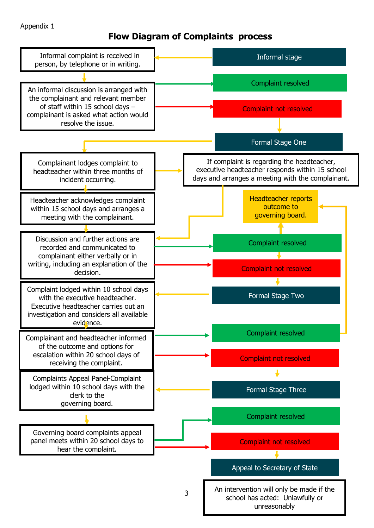### Appendix 1

# **Flow Diagram of Complaints process**